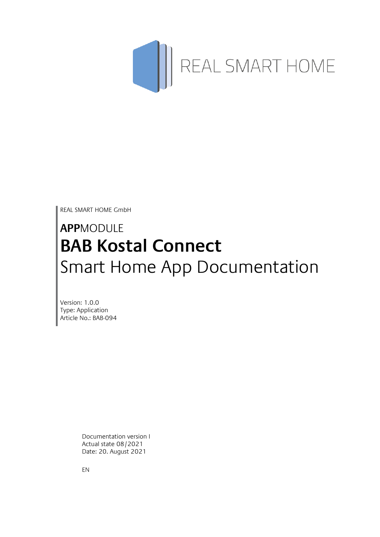

REAL SMART HOME GmbH

# **APP**MODULE **BAB Kostal Connect** Smart Home App Documentation

Version: 1.0.0 Type: Application Article No.: BAB-094

> Documentation version I Actual state 08/2021 Date: 20. August 2021

EN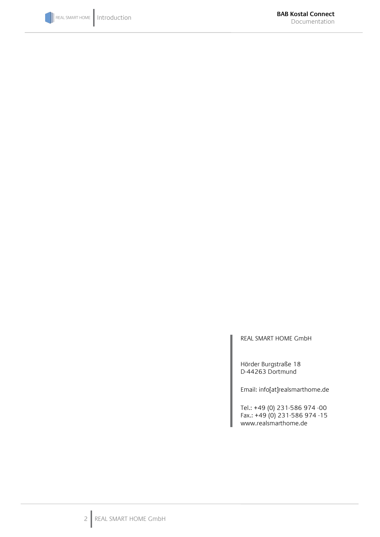

REAL SMART HOME GmbH

Hörder Burgstraße 18 D-44263 Dortmund

Email: info[at]realsmarthome.de

Tel.: +49 (0) 231-586 974 -00 Fax.: +49 (0) 231-586 974 -15 www.realsmarthome.de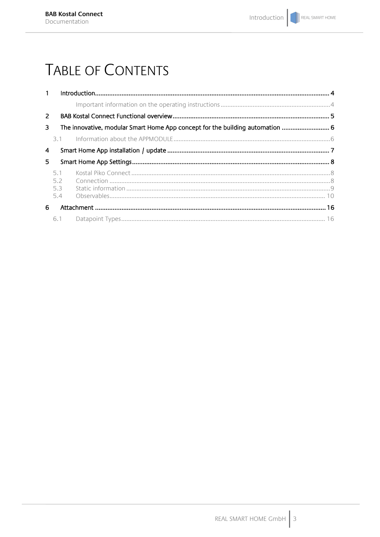# **TABLE OF CONTENTS**

| $\mathbf{1}$   |                                                                               |  |  |  |  |  |
|----------------|-------------------------------------------------------------------------------|--|--|--|--|--|
|                |                                                                               |  |  |  |  |  |
| $\overline{2}$ |                                                                               |  |  |  |  |  |
| 3              | The innovative, modular Smart Home App concept for the building automation  6 |  |  |  |  |  |
|                | 3.1                                                                           |  |  |  |  |  |
| 4              |                                                                               |  |  |  |  |  |
| 5.             |                                                                               |  |  |  |  |  |
|                | 5.1<br>5.2<br>5.3<br>5.4                                                      |  |  |  |  |  |
| 6.             |                                                                               |  |  |  |  |  |
|                |                                                                               |  |  |  |  |  |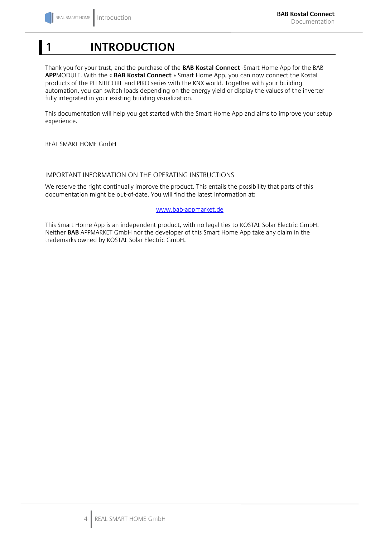# <span id="page-3-0"></span>**1 INTRODUCTION**

Thank you for your trust, and the purchase of the **BAB Kostal Connect** -Smart Home App for the BAB **APP**MODULE. With the « **BAB Kostal Connect** » Smart Home App, you can now connect the Kostal products of the PLENTICORE and PIKO series with the KNX world. Together with your building automation, you can switch loads depending on the energy yield or display the values of the inverter fully integrated in your existing building visualization.

This documentation will help you get started with the Smart Home App and aims to improve your setup experience.

REAL SMART HOME GmbH

# <span id="page-3-1"></span>IMPORTANT INFORMATION ON THE OPERATING INSTRUCTIONS

We reserve the right continually improve the product. This entails the possibility that parts of this documentation might be out-of-date. You will find the latest information at:

# [www.bab-appmarket.de](http://www.bab-appmarket.de/)

This Smart Home App is an independent product, with no legal ties to KOSTAL Solar Electric GmbH. Neither **BAB** APPMARKET GmbH nor the developer of this Smart Home App take any claim in the trademarks owned by KOSTAL Solar Electric GmbH.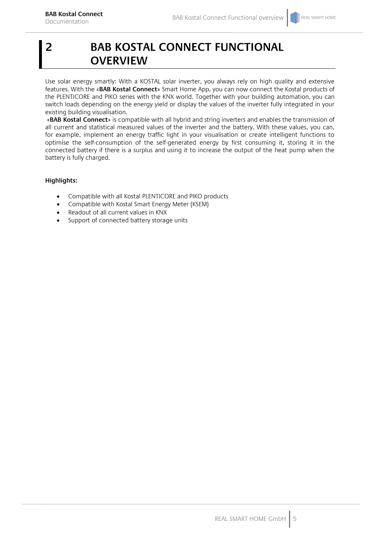# <span id="page-4-0"></span>**2 BAB KOSTAL CONNECT FUNCTIONAL OVERVIEW**

Use solar energy smartly: With a KOSTAL solar inverter, you always rely on high quality and extensive features. With the «**BAB Kostal Connect**» Smart Home App, you can now connect the Kostal products of the PLENTICORE and PIKO series with the KNX world. Together with your building automation, you can switch loads depending on the energy yield or display the values of the inverter fully integrated in your existing building visualisation.

«**BAB Kostal Connect**» is compatible with all hybrid and string inverters and enables the transmission of all current and statistical measured values of the inverter and the battery. With these values, you can, for example, implement an energy traffic light in your visualisation or create intelligent functions to optimise the self-consumption of the self-generated energy by first consuming it, storing it in the connected battery if there is a surplus and using it to increase the output of the heat pump when the battery is fully charged.

# **Highlights:**

- Compatible with all Kostal PLENTICORE and PIKO products
- Compatible with Kostal Smart Energy Meter (KSEM)
- Readout of all current values in KNX
- Support of connected battery storage units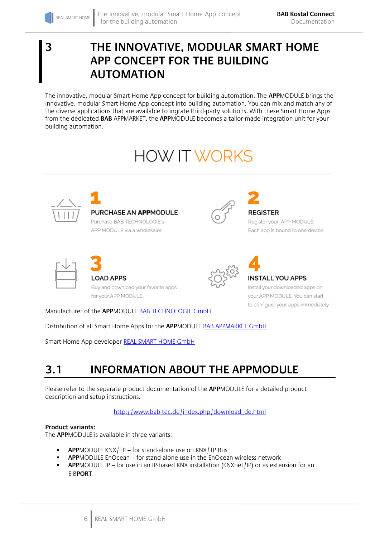# <span id="page-5-0"></span>**3 THE INNOVATIVE, MODULAR SMART HOME APP CONCEPT FOR THE BUILDING AUTOMATION**

The innovative, modular Smart Home App concept for building automation. The **APP**MODULE brings the innovative, modular Smart Home App concept into building automation. You can mix and match any of the diverse applications that are available to ingrate third-party solutions. With these Smart Home Apps from the dedicated **BAB** APPMARKET, the **APP**MODULE becomes a tailor-made integration unit for your building automation.

# **HOW IT WORKS**



# PURCHASE AN APPMODULE

Purchase BAB TECHNOLOGIE's APP MODULE via a wholesaler.



# **REGISTER**

Register your APP MODULE. Each app is bound to one device.



**OAD APPS** Buy and download your favorite apps for your APP MODULE..



# **INSTALL YOU APPS**

Install your downloaded apps on your APP MODULE. You can start to configure your apps immediately.

Manufacturer of the **APP**MODULE BAB [TECHNOLOGIE GmbH](http://bab-tec.de/)

Distribution of all Smart Home Apps for the **APP**MODULE [BAB APPMARKET GmbH](https://www.bab-appmarket.de/de/)

Smart Home App developer [REAL SMART HOME GmbH](http://www.realsmarthome.de/)

# <span id="page-5-1"></span>**3.1 INFORMATION ABOUT THE APPMODULE**

Please refer to the separate product documentation of the **APP**MODULE for a detailed product description and setup instructions.

[http://www.bab-tec.de/index.php/download\\_de.html](http://www.bab-tec.de/index.php/download_de.html)

# **Product variants:**

The **APP**MODULE is available in three variants:

- **APP**MODULE KNX/TP for stand-alone use on KNX/TP Bus
- **APP**MODULE EnOcean for stand-alone use in the EnOcean wireless network
- **APP**MODULE IP for use in an IP-based KNX installation (KNXnet/IP) or as extension for an EIB**PORT**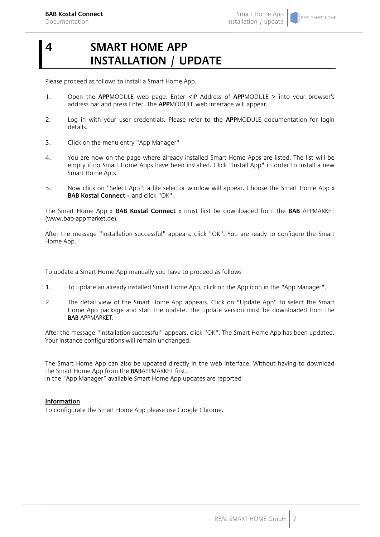REAL SMART HOME

<span id="page-6-0"></span>Please proceed as follows to install a Smart Home App.

- 1. Open the **APP**MODULE web page: Enter <IP Address of **APP**MODULE > into your browser's address bar and press Enter. The **APP**MODULE web interface will appear.
- 2. Log in with your user credentials. Please refer to the **APP**MODULE documentation for login details.
- 3. Click on the menu entry "App Manager"
- 4. You are now on the page where already installed Smart Home Apps are listed. The list will be empty if no Smart Home Apps have been installed. Click "Install App" in order to install a new Smart Home App.
- 5. Now click on "Select App"; a file selector window will appear. Choose the Smart Home App » **BAB Kostal Connect** « and click "OK".

The Smart Home App » **BAB Kostal Connect** « must first be downloaded from the **BAB** APPMARKET (www.bab-appmarket.de).

After the message "Installation successful" appears, click "OK". You are ready to configure the Smart Home App.

To update a Smart Home App manually you have to proceed as follows

- 1. To update an already installed Smart Home App, click on the App icon in the "App Manager".
- 2. The detail view of the Smart Home App appears. Click on "Update App" to select the Smart Home App package and start the update. The update version must be downloaded from the BAB APPMARKET.

After the message "Installation successful" appears, click "OK". The Smart Home App has been updated. Your instance configurations will remain unchanged.

The Smart Home App can also be updated directly in the web interface. Without having to download the Smart Home App from the BABAPPMARKET first. In the "App Manager" available Smart Home App updates are reported

# **Information**

To configurate the Smart Home App please use Google Chrome.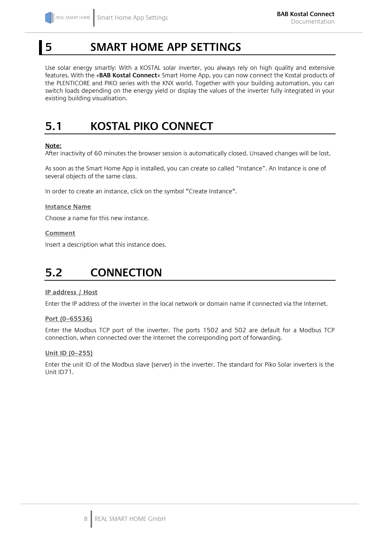# <span id="page-7-0"></span>**5 SMART HOME APP SETTINGS**

Use solar energy smartly: With a KOSTAL solar inverter, you always rely on high quality and extensive features. With the «**BAB Kostal Connect**» Smart Home App, you can now connect the Kostal products of the PLENTICORE and PIKO series with the KNX world. Together with your building automation, you can switch loads depending on the energy yield or display the values of the inverter fully integrated in your existing building visualisation.

# <span id="page-7-1"></span>**5.1 KOSTAL PIKO CONNECT**

# **Note:**

After inactivity of 60 minutes the browser session is automatically closed. Unsaved changes will be lost.

As soon as the Smart Home App is installed, you can create so called "Instance". An Instance is one of several objects of the same class.

In order to create an instance, click on the symbol "Create Instance".

# **Instance Name**

Choose a name for this new instance.

# **Comment**

Insert a description what this instance does.

# <span id="page-7-2"></span>**5.2 CONNECTION**

# **IP address / Host**

Enter the IP address of the inverter in the local network or domain name if connected via the Internet.

# **Port (0–65536)**

Enter the Modbus TCP port of the inverter. The ports 1502 and 502 are default for a Modbus TCP connection, when connected over the Internet the corresponding port of forwarding.

# **Unit ID (0–255)**

Enter the unit ID of the Modbus slave (server) in the inverter. The standard for Piko Solar inverters is the Unit ID71.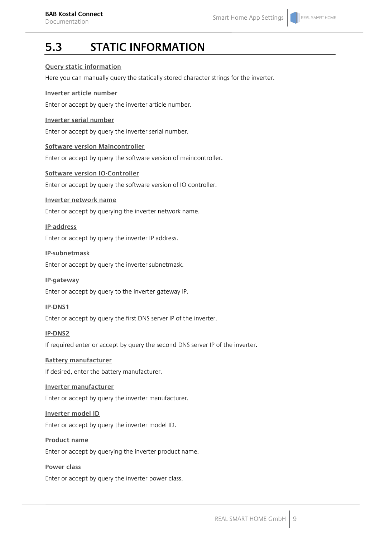# <span id="page-8-0"></span>**5.3 STATIC INFORMATION**

# **Query static information**

Here you can manually query the statically stored character strings for the inverter.

# **Inverter article number**

Enter or accept by query the inverter article number.

# **Inverter serial number**

Enter or accept by query the inverter serial number.

# **Software version Maincontroller**

Enter or accept by query the software version of maincontroller.

## **Software version IO-Controller**

Enter or accept by query the software version of IO controller.

## **Inverter network name**

Enter or accept by querying the inverter network name.

# **IP-address**

Enter or accept by query the inverter IP address.

## **IP-subnetmask**

Enter or accept by query the inverter subnetmask.

# **IP-gateway**

Enter or accept by query to the inverter gateway IP.

# **IP-DNS1**

Enter or accept by query the first DNS server IP of the inverter.

# **IP-DNS2**

If required enter or accept by query the second DNS server IP of the inverter.

# **Battery manufacturer**

If desired, enter the battery manufacturer.

# **Inverter manufacturer**

Enter or accept by query the inverter manufacturer.

### **Inverter model ID**

Enter or accept by query the inverter model ID.

### **Product name**

Enter or accept by querying the inverter product name.

# **Power class**

Enter or accept by query the inverter power class.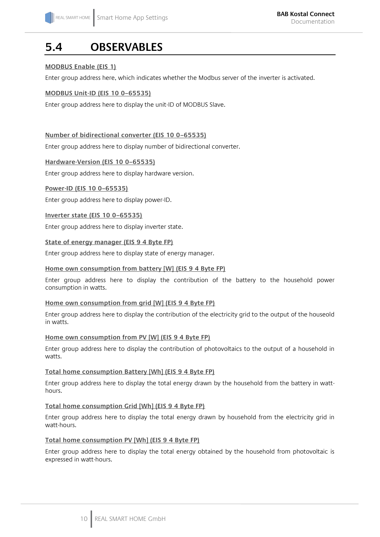# <span id="page-9-0"></span>**5.4 OBSERVABLES**

# **MODBUS Enable (EIS 1)**

Enter group address here, which indicates whether the Modbus server of the inverter is activated.

# **MODBUS Unit-ID (EIS 10 0–65535)**

Enter group address here to display the unit-ID of MODBUS Slave.

# **Number of bidirectional converter (EIS 10 0–65535)**

Enter group address here to display number of bidirectional converter.

## **Hardware-Version (EIS 10 0–65535)**

Enter group address here to display hardware version.

# **Power-ID (EIS 10 0–65535)**

Enter group address here to display power-ID.

# **Inverter state (EIS 10 0–65535)**

Enter group address here to display inverter state.

## **State of energy manager (EIS 9 4 Byte FP)**

Enter group address here to display state of energy manager.

# **Home own consumption from battery [W] (EIS 9 4 Byte FP)**

Enter group address here to display the contribution of the battery to the household power consumption in watts.

### **Home own consumption from grid [W] (EIS 9 4 Byte FP)**

Enter group address here to display the contribution of the electricity grid to the output of the houseold in watts.

### **Home own consumption from PV [W] (EIS 9 4 Byte FP)**

Enter group address here to display the contribution of photovoltaics to the output of a household in watts.

### **Total home consumption Battery [Wh] (EIS 9 4 Byte FP)**

Enter group address here to display the total energy drawn by the household from the battery in watthours.

### **Total home consumption Grid [Wh] (EIS 9 4 Byte FP)**

Enter group address here to display the total energy drawn by household from the electricity grid in watt-hours.

### **Total home consumption PV [Wh] (EIS 9 4 Byte FP)**

Enter group address here to display the total energy obtained by the household from photovoltaic is expressed in watt-hours.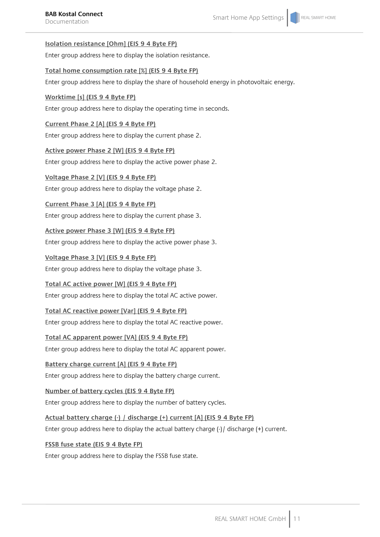# **Isolation resistance [Ohm] (EIS 9 4 Byte FP)**

Enter group address here to display the isolation resistance.

# **Total home consumption rate [%] (EIS 9 4 Byte FP)**

Enter group address here to display the share of household energy in photovoltaic energy.

# **Worktime [s] (EIS 9 4 Byte FP)**

Enter group address here to display the operating time in seconds.

# **Current Phase 2 [A] (EIS 9 4 Byte FP)**

Enter group address here to display the current phase 2.

# **Active power Phase 2 [W] (EIS 9 4 Byte FP)**

Enter group address here to display the active power phase 2.

# **Voltage Phase 2 [V] (EIS 9 4 Byte FP)**

Enter group address here to display the voltage phase 2.

# **Current Phase 3 [A] (EIS 9 4 Byte FP)**

Enter group address here to display the current phase 3.

# **Active power Phase 3 [W] (EIS 9 4 Byte FP)**

Enter group address here to display the active power phase 3.

# **Voltage Phase 3 [V] (EIS 9 4 Byte FP)**

Enter group address here to display the voltage phase 3.

# **Total AC active power [W] (EIS 9 4 Byte FP)**

Enter group address here to display the total AC active power.

# **Total AC reactive power [Var] (EIS 9 4 Byte FP)**

Enter group address here to display the total AC reactive power.

# **Total AC apparent power [VA] (EIS 9 4 Byte FP)**

Enter group address here to display the total AC apparent power.

# **Battery charge current [A] (EIS 9 4 Byte FP)**

Enter group address here to display the battery charge current.

# **Number of battery cycles (EIS 9 4 Byte FP)**

Enter group address here to display the number of battery cycles.

# **Actual battery charge (-) / discharge (+) current [A] (EIS 9 4 Byte FP)**

Enter group address here to display the actual battery charge (-)/ discharge (+) current.

# **FSSB fuse state (EIS 9 4 Byte FP)**

Enter group address here to display the FSSB fuse state.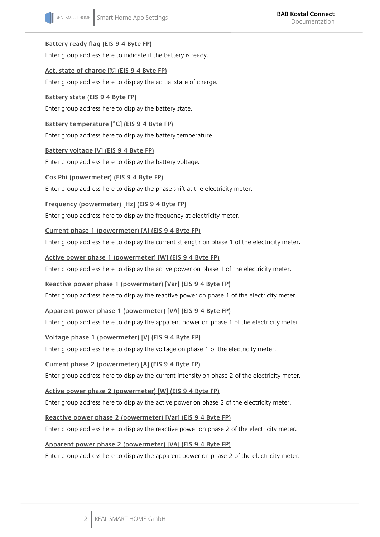# **Battery ready flag (EIS 9 4 Byte FP)**

Enter group address here to indicate if the battery is ready.

# **Act. state of charge [%] (EIS 9 4 Byte FP)**

Enter group address here to display the actual state of charge.

# **Battery state (EIS 9 4 Byte FP)**

Enter group address here to display the battery state.

# **Battery temperature [°C] (EIS 9 4 Byte FP)**

Enter group address here to display the battery temperature.

# **Battery voltage [V] (EIS 9 4 Byte FP)**

Enter group address here to display the battery voltage.

## **Cos Phi (powermeter) (EIS 9 4 Byte FP)**

Enter group address here to display the phase shift at the electricity meter.

# **Frequency (powermeter) [Hz] (EIS 9 4 Byte FP)**

Enter group address here to display the frequency at electricity meter.

## **Current phase 1 (powermeter) [A] (EIS 9 4 Byte FP)**

Enter group address here to display the current strength on phase 1 of the electricity meter.

## **Active power phase 1 (powermeter) [W] (EIS 9 4 Byte FP)**

Enter group address here to display the active power on phase 1 of the electricity meter.

# **Reactive power phase 1 (powermeter) [Var] (EIS 9 4 Byte FP)**

Enter group address here to display the reactive power on phase 1 of the electricity meter.

# **Apparent power phase 1 (powermeter) [VA] (EIS 9 4 Byte FP)**

Enter group address here to display the apparent power on phase 1 of the electricity meter.

# **Voltage phase 1 (powermeter) [V] (EIS 9 4 Byte FP)**

Enter group address here to display the voltage on phase 1 of the electricity meter.

# **Current phase 2 (powermeter) [A] (EIS 9 4 Byte FP)**

Enter group address here to display the current intensity on phase 2 of the electricity meter.

# **Active power phase 2 (powermeter) [W] (EIS 9 4 Byte FP)**

Enter group address here to display the active power on phase 2 of the electricity meter.

# **Reactive power phase 2 (powermeter) [Var] (EIS 9 4 Byte FP)**

Enter group address here to display the reactive power on phase 2 of the electricity meter.

# **Apparent power phase 2 (powermeter) [VA] (EIS 9 4 Byte FP)**

Enter group address here to display the apparent power on phase 2 of the electricity meter.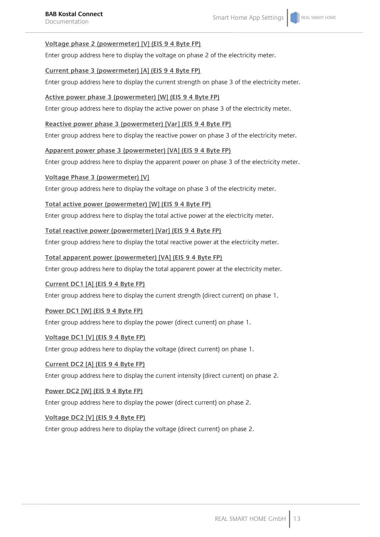# **Voltage phase 2 (powermeter) [V] (EIS 9 4 Byte FP)**

Enter group address here to display the voltage on phase 2 of the electricity meter.

## **Current phase 3 (powermeter) [A] (EIS 9 4 Byte FP)**

Enter group address here to display the current strength on phase 3 of the electricity meter.

# **Active power phase 3 (powermeter) [W] (EIS 9 4 Byte FP)**

Enter group address here to display the active power on phase 3 of the electricity meter.

# **Reactive power phase 3 (powermeter) [Var] (EIS 9 4 Byte FP)**

Enter group address here to display the reactive power on phase 3 of the electricity meter.

# **Apparent power phase 3 (powermeter) [VA] (EIS 9 4 Byte FP)**

Enter group address here to display the apparent power on phase 3 of the electricity meter.

# **Voltage Phase 3 (powermeter) [V]**

Enter group address here to display the voltage on phase 3 of the electricity meter.

## **Total active power (powermeter) [W] (EIS 9 4 Byte FP)**

Enter group address here to display the total active power at the electricity meter.

# **Total reactive power (powermeter) [Var] (EIS 9 4 Byte FP)**

Enter group address here to display the total reactive power at the electricity meter.

## **Total apparent power (powermeter) [VA] (EIS 9 4 Byte FP)**

Enter group address here to display the total apparent power at the electricity meter.

# **Current DC1 [A] (EIS 9 4 Byte FP)**

Enter group address here to display the current strength (direct current) on phase 1.

# **Power DC1 [W] (EIS 9 4 Byte FP)**

Enter group address here to display the power (direct current) on phase 1.

# **Voltage DC1 [V] (EIS 9 4 Byte FP)**

Enter group address here to display the voltage (direct current) on phase 1.

### **Current DC2 [A] (EIS 9 4 Byte FP)**

Enter group address here to display the current intensity (direct current) on phase 2.

# **Power DC2 [W] (EIS 9 4 Byte FP)**

Enter group address here to display the power (direct current) on phase 2.

# **Voltage DC2 [V] (EIS 9 4 Byte FP)**

Enter group address here to display the voltage (direct current) on phase 2.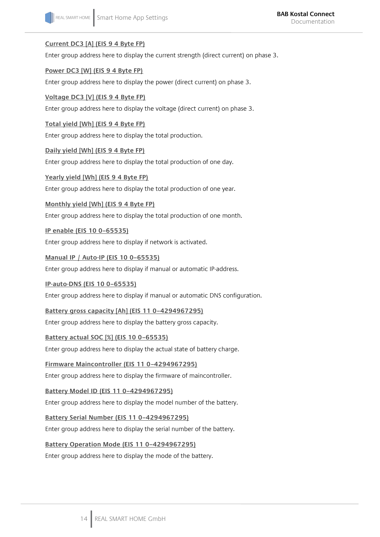# **Current DC3 [A] (EIS 9 4 Byte FP)**

Enter group address here to display the current strength (direct current) on phase 3.

# **Power DC3 [W] (EIS 9 4 Byte FP)**

Enter group address here to display the power (direct current) on phase 3.

# **Voltage DC3 [V] (EIS 9 4 Byte FP)**

Enter group address here to display the voltage (direct current) on phase 3.

# **Total yield [Wh] (EIS 9 4 Byte FP)**

Enter group address here to display the total production.

# **Daily yield [Wh] (EIS 9 4 Byte FP)**

Enter group address here to display the total production of one day.

# **Yearly yield [Wh] (EIS 9 4 Byte FP)**

Enter group address here to display the total production of one year.

# **Monthly yield [Wh] (EIS 9 4 Byte FP)**

Enter group address here to display the total production of one month.

# **IP enable (EIS 10 0–65535)**

Enter group address here to display if network is activated.

# **Manual IP / Auto-IP (EIS 10 0–65535)**

Enter group address here to display if manual or automatic IP-address.

# **IP-auto-DNS (EIS 10 0–65535)**

Enter group address here to display if manual or automatic DNS configuration.

# **Battery gross capacity [Ah] (EIS 11 0–4294967295)**

Enter group address here to display the battery gross capacity.

# **Battery actual SOC [%] (EIS 10 0–65535)**

Enter group address here to display the actual state of battery charge.

# **Firmware Maincontroller (EIS 11 0–4294967295)**

Enter group address here to display the firmware of maincontroller.

# **Battery Model ID (EIS 11 0–4294967295)**

Enter group address here to display the model number of the battery.

# **Battery Serial Number (EIS 11 0–4294967295)**

Enter group address here to display the serial number of the battery.

# **Battery Operation Mode (EIS 11 0–4294967295)**

Enter group address here to display the mode of the battery.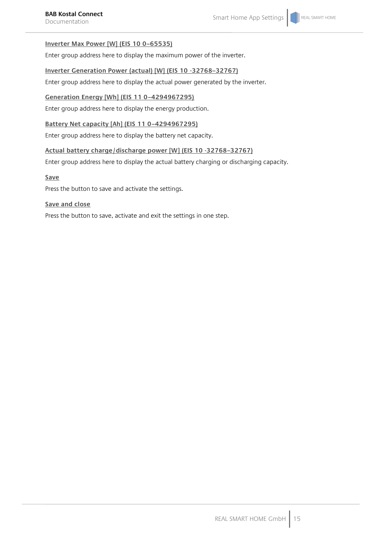# **Inverter Max Power [W] (EIS 10 0–65535)**

Enter group address here to display the maximum power of the inverter.

## **Inverter Generation Power (actual) [W] (EIS 10 -32768–32767)**

Enter group address here to display the actual power generated by the inverter.

# **Generation Energy [Wh] (EIS 11 0–4294967295)**

Enter group address here to display the energy production.

# **Battery Net capacity [Ah] (EIS 11 0–4294967295)**

Enter group address here to display the battery net capacity.

# **Actual battery charge/discharge power [W] (EIS 10 -32768–32767)**

Enter group address here to display the actual battery charging or discharging capacity.

# **Save**

Press the button to save and activate the settings.

# **Save and close**

Press the button to save, activate and exit the settings in one step.